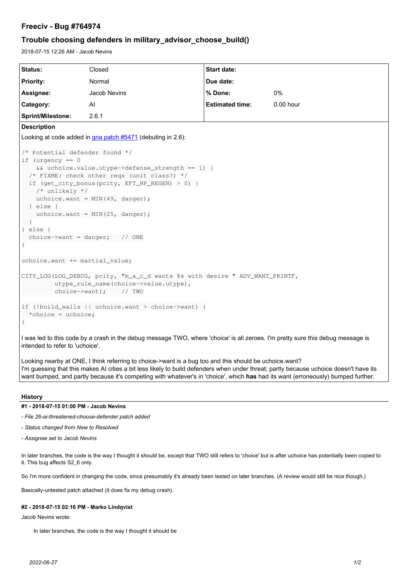## *Freeciv - Bug #764974*

# *Trouble choosing defenders in military\_advisor\_choose\_build()*

2018-07-15 12:26 AM - Jacob Nevins

| Status:                                                                                                                                                                                                                                                                                                                                                                                  | Closed       | <b>Start date:</b>     |             |
|------------------------------------------------------------------------------------------------------------------------------------------------------------------------------------------------------------------------------------------------------------------------------------------------------------------------------------------------------------------------------------------|--------------|------------------------|-------------|
| <b>Priority:</b>                                                                                                                                                                                                                                                                                                                                                                         | Normal       | Due date:              |             |
| Assignee:                                                                                                                                                                                                                                                                                                                                                                                | Jacob Nevins | % Done:                | 0%          |
| <b>Category:</b>                                                                                                                                                                                                                                                                                                                                                                         | Al           | <b>Estimated time:</b> | $0.00$ hour |
| <b>Sprint/Milestone:</b>                                                                                                                                                                                                                                                                                                                                                                 | 2.6.1        |                        |             |
| <b>Description</b>                                                                                                                                                                                                                                                                                                                                                                       |              |                        |             |
| Looking at code added in gna patch #5471 (debuting in 2.6):                                                                                                                                                                                                                                                                                                                              |              |                        |             |
| /* Potential defender found */<br>if (urgency $== 0$<br>&& uchoice.value.utype->defense_strength == 1) {<br>/* FIXME: check other regs (unit class?) */<br>if (get_city_bonus(pcity, EFT_HP_REGEN) > 0) {<br>$/*$ unlikely $*/$<br>uchoice.want = $MIN(49, danger);$<br>} else {<br>uchoice.want = $MIN(25, danger);$<br>$\mathcal{E}$<br>$\}$ else {<br>choice->want = danger; $// ONE$ |              |                        |             |
| uchoice.want += martial_value;                                                                                                                                                                                                                                                                                                                                                           |              |                        |             |
| CITY_LOG(LOG_DEBUG, pcity, "m_a_c_d wants %s with desire " ADV_WANT_PRINTF,<br>utype_rule_name(choice->value.utype),<br>$choice->want);$ // TWO                                                                                                                                                                                                                                          |              |                        |             |
| if (!build_walls    uchoice.want > choice->want) {<br>*choice = uchoice;                                                                                                                                                                                                                                                                                                                 |              |                        |             |
| I was led to this code by a crash in the debug message TWO, where 'choice' is all zeroes. I'm pretty sure this debug message is<br>intended to refer to 'uchoice'.                                                                                                                                                                                                                       |              |                        |             |
| Looking nearby at ONE, I think referring to choice->want is a bug too and this should be uchoice.want?<br>I'm guessing that this makes AI cities a bit less likely to build defenders when under threat; partly because uchoice doesn't have its<br>want bumped, and partly because it's competing with whatever's in 'choice', which has had its want (erroneously) bumped further.     |              |                        |             |

#### *History*

### *#1 - 2018-07-15 01:00 PM - Jacob Nevins*

*- File 26-ai-threatened-choose-defender.patch added*

- *Status changed from New to Resolved*
- *Assignee set to Jacob Nevins*

In later branches, the code is the way I thought it should be, except that TWO still refers to 'choice' but is after uchoice has potentially been copied to it. This bug affects S2\_6 only.

So I'm more confident in changing the code, since presumably it's already been tested on later branches. (A review would still be nice though.)

Basically-untested patch attached (it does fix my debug crash).

#### *#2 - 2018-07-15 02:16 PM - Marko Lindqvist*

Jacob Nevins wrote:

In later branches, the code is the way I thought it should be